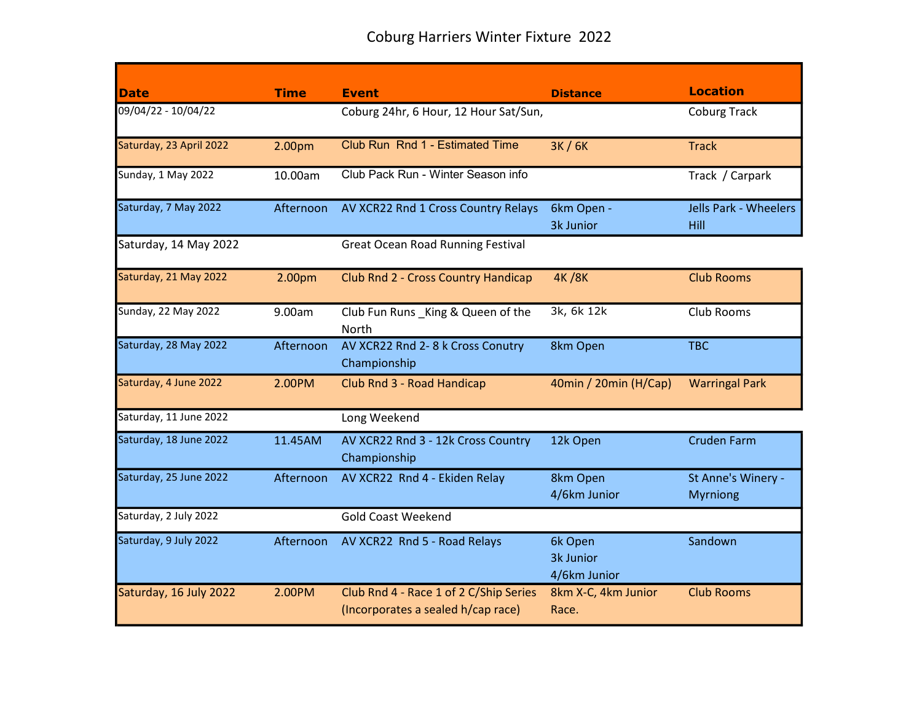|                         | <b>Time</b>        |                                                                              |                                      | <b>Location</b>                       |
|-------------------------|--------------------|------------------------------------------------------------------------------|--------------------------------------|---------------------------------------|
| <b>Date</b>             |                    | <b>Event</b>                                                                 | <b>Distance</b>                      |                                       |
| 09/04/22 - 10/04/22     |                    | Coburg 24hr, 6 Hour, 12 Hour Sat/Sun,                                        |                                      | <b>Coburg Track</b>                   |
| Saturday, 23 April 2022 | 2.00pm             | Club Run Rnd 1 - Estimated Time                                              | 3K / 6K                              | <b>Track</b>                          |
| Sunday, 1 May 2022      | 10.00am            | Club Pack Run - Winter Season info                                           |                                      | Track / Carpark                       |
| Saturday, 7 May 2022    | Afternoon          | AV XCR22 Rnd 1 Cross Country Relays                                          | 6km Open -<br>3k Junior              | Jells Park - Wheelers<br>Hill         |
| Saturday, 14 May 2022   |                    | <b>Great Ocean Road Running Festival</b>                                     |                                      |                                       |
| Saturday, 21 May 2022   | 2.00 <sub>pm</sub> | <b>Club Rnd 2 - Cross Country Handicap</b>                                   | <b>4K/8K</b>                         | <b>Club Rooms</b>                     |
| Sunday, 22 May 2022     | 9.00am             | Club Fun Runs_King & Queen of the<br><b>North</b>                            | 3k, 6k 12k                           | Club Rooms                            |
| Saturday, 28 May 2022   | Afternoon          | AV XCR22 Rnd 2-8 k Cross Conutry<br>Championship                             | 8km Open                             | <b>TBC</b>                            |
| Saturday, 4 June 2022   | 2.00PM             | Club Rnd 3 - Road Handicap                                                   | 40min / 20min (H/Cap)                | <b>Warringal Park</b>                 |
| Saturday, 11 June 2022  |                    | Long Weekend                                                                 |                                      |                                       |
| Saturday, 18 June 2022  | 11.45AM            | AV XCR22 Rnd 3 - 12k Cross Country<br>Championship                           | 12k Open                             | <b>Cruden Farm</b>                    |
| Saturday, 25 June 2022  | Afternoon          | AV XCR22 Rnd 4 - Ekiden Relay                                                | 8km Open<br>4/6km Junior             | St Anne's Winery -<br><b>Myrniong</b> |
| Saturday, 2 July 2022   |                    | <b>Gold Coast Weekend</b>                                                    |                                      |                                       |
| Saturday, 9 July 2022   | Afternoon          | AV XCR22 Rnd 5 - Road Relays                                                 | 6k Open<br>3k Junior<br>4/6km Junior | Sandown                               |
| Saturday, 16 July 2022  | 2.00PM             | Club Rnd 4 - Race 1 of 2 C/Ship Series<br>(Incorporates a sealed h/cap race) | 8km X-C, 4km Junior<br>Race.         | <b>Club Rooms</b>                     |